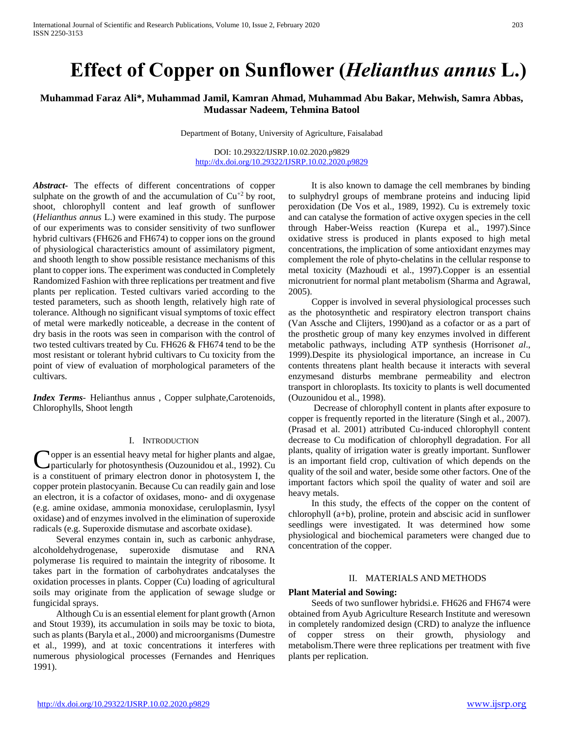# **Effect of Copper on Sunflower (***Helianthus annus* **L.)**

# **Muhammad Faraz Ali\*, Muhammad Jamil, Kamran Ahmad, Muhammad Abu Bakar, Mehwish, Samra Abbas, Mudassar Nadeem, Tehmina Batool**

Department of Botany, University of Agriculture, Faisalabad

DOI: 10.29322/IJSRP.10.02.2020.p9829 <http://dx.doi.org/10.29322/IJSRP.10.02.2020.p9829>

*Abstract***-** The effects of different concentrations of copper sulphate on the growth of and the accumulation of  $Cu^{+2}$  by root, shoot, chlorophyll content and leaf growth of sunflower (*Helianthus annus* L.) were examined in this study. The purpose of our experiments was to consider sensitivity of two sunflower hybrid cultivars (FH626 and FH674) to copper ions on the ground of physiological characteristics amount of assimilatory pigment, and shooth length to show possible resistance mechanisms of this plant to copper ions. The experiment was conducted in Completely Randomized Fashion with three replications per treatment and five plants per replication. Tested cultivars varied according to the tested parameters, such as shooth length, relatively high rate of tolerance. Although no significant visual symptoms of toxic effect of metal were markedly noticeable, a decrease in the content of dry basis in the roots was seen in comparison with the control of two tested cultivars treated by Cu. FH626 & FH674 tend to be the most resistant or tolerant hybrid cultivars to Cu toxicity from the point of view of evaluation of morphological parameters of the cultivars.

*Index Terms*- Helianthus annus , Copper sulphate,Carotenoids, Chlorophylls, Shoot length

### I. INTRODUCTION

opper is an essential heavy metal for higher plants and algae, Copper is an essential heavy metal for higher plants and algae,<br>particularly for photosynthesis (Ouzounidou et al., 1992). Cu is a constituent of primary electron donor in photosystem I, the copper protein plastocyanin. Because Cu can readily gain and lose an electron, it is a cofactor of oxidases, mono- and di oxygenase (e.g. amine oxidase, ammonia monoxidase, ceruloplasmin, Iysyl oxidase) and of enzymes involved in the elimination of superoxide radicals (e.g. Superoxide dismutase and ascorbate oxidase).

 Several enzymes contain in, such as carbonic anhydrase, alcoholdehydrogenase, superoxide dismutase and RNA polymerase 1is required to maintain the integrity of ribosome. It takes part in the formation of carbohydrates andcatalyses the oxidation processes in plants. Copper (Cu) loading of agricultural soils may originate from the application of sewage sludge or fungicidal sprays.

 Although Cu is an essential element for plant growth (Arnon and Stout 1939), its accumulation in soils may be toxic to biota, such as plants (Baryla et al., 2000) and microorganisms (Dumestre et al., 1999), and at toxic concentrations it interferes with numerous physiological processes (Fernandes and Henriques 1991).

 It is also known to damage the cell membranes by binding to sulphydryl groups of membrane proteins and inducing lipid peroxidation (De Vos et al., 1989, 1992). Cu is extremely toxic and can catalyse the formation of active oxygen species in the cell through Haber-Weiss reaction (Kurepa et al., 1997).Since oxidative stress is produced in plants exposed to high metal concentrations, the implication of some antioxidant enzymes may complement the role of phyto-chelatins in the cellular response to metal toxicity (Mazhoudi et al., 1997).Copper is an essential micronutrient for normal plant metabolism (Sharma and Agrawal, 2005).

 Copper is involved in several physiological processes such as the photosynthetic and respiratory electron transport chains (Van Assche and Clijters, 1990)and as a cofactor or as a part of the prosthetic group of many key enzymes involved in different metabolic pathways, including ATP synthesis (Horrison*et al*., 1999).Despite its physiological importance, an increase in Cu contents threatens plant health because it interacts with several enzymesand disturbs membrane permeability and electron transport in chloroplasts. Its toxicity to plants is well documented (Ouzounidou et al., 1998).

 Decrease of chlorophyll content in plants after exposure to copper is frequently reported in the literature (Singh et al., 2007). (Prasad et al. 2001) attributed Cu-induced chlorophyll content decrease to Cu modification of chlorophyll degradation. For all plants, quality of irrigation water is greatly important. Sunflower is an important field crop, cultivation of which depends on the quality of the soil and water, beside some other factors. One of the important factors which spoil the quality of water and soil are heavy metals.

 In this study, the effects of the copper on the content of chlorophyll (a+b), proline, protein and abscisic acid in sunflower seedlings were investigated. It was determined how some physiological and biochemical parameters were changed due to concentration of the copper.

# II. MATERIALS AND METHODS

## **Plant Material and Sowing:**

 Seeds of two sunflower hybridsi.e. FH626 and FH674 were obtained from Ayub Agriculture Research Institute and weresown in completely randomized design (CRD) to analyze the influence of copper stress on their growth, physiology and metabolism.There were three replications per treatment with five plants per replication.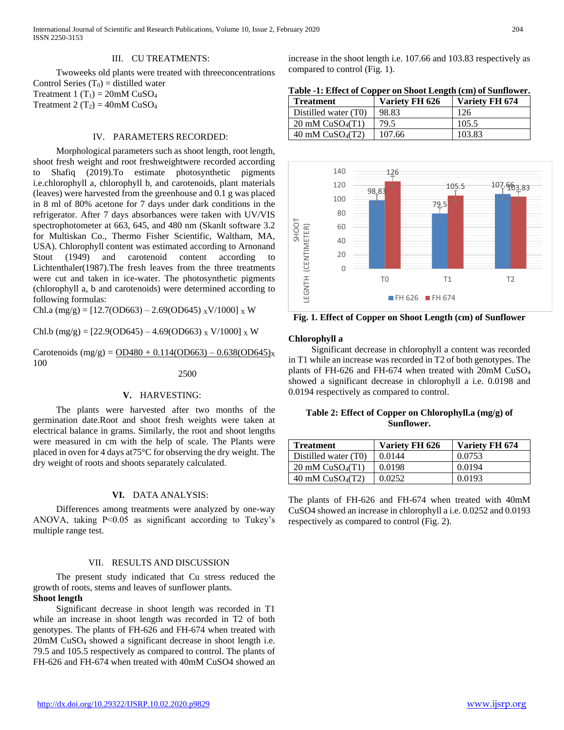International Journal of Scientific and Research Publications, Volume 10, Issue 2, February 2020 204 ISSN 2250-3153

#### III. CU TREATMENTS:

 Twoweeks old plants were treated with threeconcentrations Control Series  $(T_0)$  = distilled water Treatment 1  $(T_1) = 20$ mM CuSO<sub>4</sub>

Treatment 2  $(T_2) = 40$ mM CuSO<sub>4</sub>

## IV. PARAMETERS RECORDED:

 Morphological parameters such as shoot length, root length, shoot fresh weight and root freshweightwere recorded according to Shafiq (2019).To estimate photosynthetic pigments i.e.chlorophyll a, chlorophyll b, and carotenoids, plant materials (leaves) were harvested from the greenhouse and 0.1 g was placed in 8 ml of 80% acetone for 7 days under dark conditions in the refrigerator. After 7 days absorbances were taken with UV/VIS spectrophotometer at 663, 645, and 480 nm (Skanlt software 3.2 for Multiskan Co., Thermo Fisher Scientific, Waltham, MA, USA). Chlorophyll content was estimated according to Arnonand Stout (1949) and carotenoid content according to Lichtenthaler(1987).The fresh leaves from the three treatments were cut and taken in ice-water. The photosynthetic pigments (chlorophyll a, b and carotenoids) were determined according to following formulas:

Chl.a  $(mg/g) = [12.7(OD663) - 2.69(OD645) \times V/1000] \times W$ 

Chl.b (mg/g) =  $[22.9(OD645) - 4.69(OD663) \times V/1000] \times W$ 

Carotenoids  $(mg/g) = OD480 + 0.114(OD663) - 0.638(OD645)x$ 100

2500

# **V.** HARVESTING:

 The plants were harvested after two months of the germination date.Root and shoot fresh weights were taken at electrical balance in grams. Similarly, the root and shoot lengths were measured in cm with the help of scale. The Plants were placed in oven for 4 days at75°C for observing the dry weight. The dry weight of roots and shoots separately calculated.

#### **VI.** DATA ANALYSIS:

 Differences among treatments were analyzed by one-way ANOVA, taking  $P < 0.05$  as significant according to Tukey's multiple range test.

#### VII. RESULTS AND DISCUSSION

 The present study indicated that Cu stress reduced the growth of roots, stems and leaves of sunflower plants. **Shoot length**

# Significant decrease in shoot length was recorded in T1 while an increase in shoot length was recorded in T2 of both genotypes. The plants of FH-626 and FH-674 when treated with 20mM CuSO<sup>4</sup> showed a significant decrease in shoot length i.e. 79.5 and 105.5 respectively as compared to control. The plants of FH-626 and FH-674 when treated with 40mM CuSO4 showed an

increase in the shoot length i.e. 107.66 and 103.83 respectively as compared to control (Fig. 1).

|  |  |  |  | Table -1: Effect of Copper on Shoot Length (cm) of Sunflower. |
|--|--|--|--|---------------------------------------------------------------|
|  |  |  |  |                                                               |

| <b>Treatment</b>                        | Variety FH 626 | Variety FH 674 |
|-----------------------------------------|----------------|----------------|
| Distilled water (T0)                    | 98.83          | 126            |
| $20 \text{ mM }$ CuSO <sub>4</sub> (T1) | 79.5           | 105.5          |
| 40 mM $CuSO4(T2)$                       | 107.66         | 103.83         |



**Fig. 1. Effect of Copper on Shoot Length (cm) of Sunflower**

# **Chlorophyll a**

 Significant decrease in chlorophyll a content was recorded in T1 while an increase was recorded in T2 of both genotypes. The plants of FH-626 and FH-674 when treated with 20mM CuSO<sup>4</sup> showed a significant decrease in chlorophyll a i.e. 0.0198 and 0.0194 respectively as compared to control.

## **Table 2: Effect of Copper on Chlorophyll.a (mg/g) of Sunflower.**

| <b>Treatment</b>                        | Variety FH 626 | Variety FH 674 |
|-----------------------------------------|----------------|----------------|
| Distilled water (T0)                    | 0.0144         | 0.0753         |
| $20 \text{ mM }$ CuSO <sub>4</sub> (T1) | 0.0198         | 0.0194         |
| 40 mM $CuSO4(T2)$                       | 0.0252         | 0.0193         |

The plants of FH-626 and FH-674 when treated with 40mM CuSO4 showed an increase in chlorophyll a i.e. 0.0252 and 0.0193 respectively as compared to control (Fig. 2).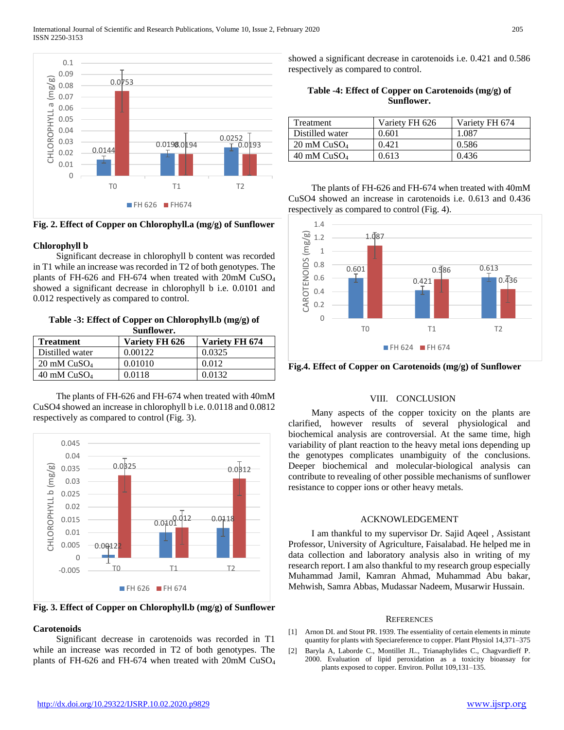

**Fig. 2. Effect of Copper on Chlorophyll.a (mg/g) of Sunflower**

# **Chlorophyll b**

 Significant decrease in chlorophyll b content was recorded in T1 while an increase was recorded in T2 of both genotypes. The plants of FH-626 and FH-674 when treated with 20mM CuSO<sup>4</sup> showed a significant decrease in chlorophyll b i.e. 0.0101 and 0.012 respectively as compared to control.

**Table -3: Effect of Copper on Chlorophyll.b (mg/g) of Sunflower.**

| <b>Treatment</b>       | Variety FH 626 | Variety FH 674 |
|------------------------|----------------|----------------|
| Distilled water        | 0.00122        | 0.0325         |
| $20 \text{ mM CuSO}_4$ | 0.01010        | 0.012          |
| $40 \text{ mM CuSO}_4$ | 0.0118         | 0.0132         |

 The plants of FH-626 and FH-674 when treated with 40mM CuSO4 showed an increase in chlorophyll b i.e. 0.0118 and 0.0812 respectively as compared to control (Fig. 3).



**Fig. 3. Effect of Copper on Chlorophyll.b (mg/g) of Sunflower**

# **Carotenoids**

 Significant decrease in carotenoids was recorded in T1 while an increase was recorded in T2 of both genotypes. The plants of FH-626 and FH-674 when treated with 20mM CuSO<sup>4</sup> showed a significant decrease in carotenoids i.e. 0.421 and 0.586 respectively as compared to control.

| Table -4: Effect of Copper on Carotenoids $(mg/g)$ of |
|-------------------------------------------------------|
| Sunflower.                                            |

| Treatment              | Variety FH 626 | Variety FH 674 |
|------------------------|----------------|----------------|
| Distilled water        | 0.601          | 1.087          |
| $20 \text{ mM CuSO}_4$ | 0.421          | 0.586          |
| $40 \text{ mM CuSO}_4$ | 0.613          | 0.436          |

 The plants of FH-626 and FH-674 when treated with 40mM CuSO4 showed an increase in carotenoids i.e. 0.613 and 0.436 respectively as compared to control (Fig. 4).



**Fig.4. Effect of Copper on Carotenoids (mg/g) of Sunflower**

#### VIII. CONCLUSION

 Many aspects of the copper toxicity on the plants are clarified, however results of several physiological and biochemical analysis are controversial. At the same time, high variability of plant reaction to the heavy metal ions depending up the genotypes complicates unambiguity of the conclusions. Deeper biochemical and molecular-biological analysis can contribute to revealing of other possible mechanisms of sunflower resistance to copper ions or other heavy metals.

## ACKNOWLEDGEMENT

 I am thankful to my supervisor Dr. Sajid Aqeel , Assistant Professor, University of Agriculture, Faisalabad. He helped me in data collection and laboratory analysis also in writing of my research report. I am also thankful to my research group especially Muhammad Jamil, Kamran Ahmad, Muhammad Abu bakar, Mehwish, Samra Abbas, Mudassar Nadeem, Musarwir Hussain.

#### **REFERENCES**

- [1] Arnon DI. and Stout PR. 1939. The essentiality of certain elements in minute quantity for plants with Speciareference to copper. Plant Physiol 14,371–375
- [2] Baryla A, Laborde C., Montillet JL., Trianaphylides C., Chagvardieff P. 2000. Evaluation of lipid peroxidation as a toxicity bioassay for plants exposed to copper. Environ. Pollut 109,131–135.